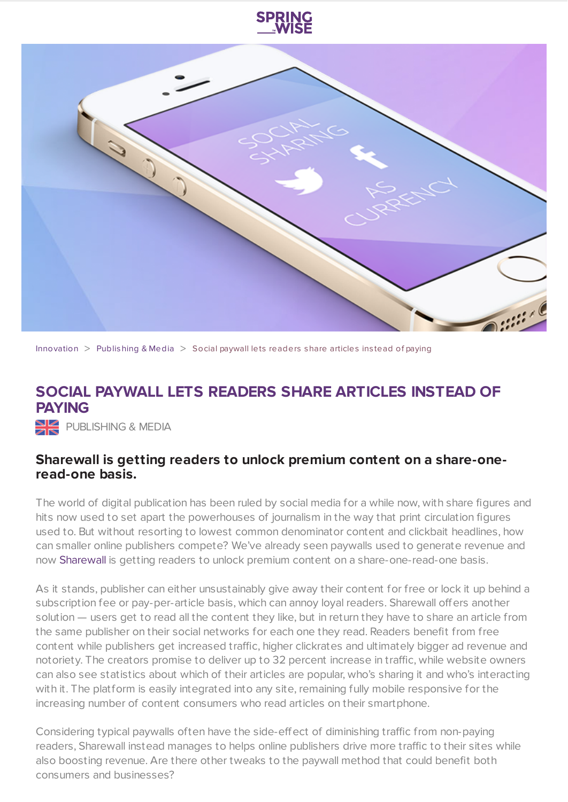



[Innovation](https://www.springwise.com/search?type=innovation)  $>$  [Publishing](https://www.springwise.com/search?type=innovation§or=publishing-media) & Media  $>$  Social paywall lets readers share articles instead of paying

## **SOCIAL PAYWALL LETS READERS SHARE ARTICLES INSTEAD OF PAYING**

**PUBLISHING & MEDIA** 

## **Sharewall is getting readers to unlock premium content on a share-oneread-one basis.**

The world of digital publication has been ruled by social media for a while now, with share figures and hits now used to set apart the powerhouses of journalism in the way that print circulation figures used to. But without resorting to lowest common denominator content and clickbait headlines, how can smaller online publishers compete? We've already seen paywalls used to generate revenue and now [Sharewall](http://www.sharewall.co.uk/) is getting readers to unlock premium content on a share-one-read-one basis.

As it stands, publisher can either unsustainably give away their content for free or lock it up behind a subscription fee or pay-per-article basis, which can annoy loyal readers. Sharewall offers another solution — users get to read all the content they like, but in return they have to share an article from the same publisher on their social networks for each one they read. Readers benefit from free content while publishers get increased traffic, higher clickrates and ultimately bigger ad revenue and notoriety. The creators promise to deliver up to 32 percent increase in traffic, while website owners can also see statistics about which of their articles are popular, who's sharing it and who's interacting with it. The platform is easily integrated into any site, remaining fully mobile responsive for the increasing number of content consumers who read articles on their smartphone.

Considering typical paywalls often have the side-effect of diminishing traffic from non-paying readers, Sharewall instead manages to helps online publishers drive more traffic to their sites while also boosting revenue. Are there other tweaks to the paywall method that could benefit both consumers and businesses?